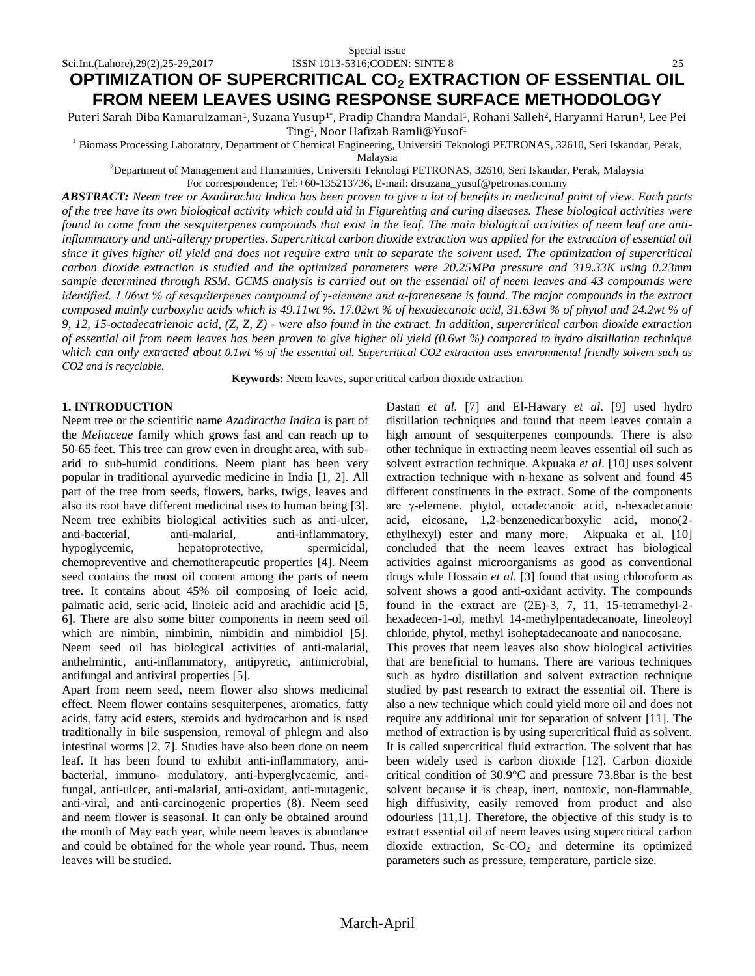# **OPTIMIZATION OF SUPERCRITICAL CO<sup>2</sup> EXTRACTION OF ESSENTIAL OIL FROM NEEM LEAVES USING RESPONSE SURFACE METHODOLOGY**

Puteri Sarah Diba Kamarulzaman<sup>1</sup>, Suzana Yusup<sup>1</sup>\*, Pradip Chandra Mandal<sup>1</sup>, Rohani Salleh<sup>2</sup>, Haryanni Harun<sup>1</sup>, Lee Pei Ting <sup>1</sup>, Noor Hafizah Ramli@Yusof<sup>1</sup>

<sup>1</sup> Biomass Processing Laboratory, Department of Chemical Engineering, Universiti Teknologi PETRONAS, 32610, Seri Iskandar, Perak, Malaysia

<sup>2</sup>Department of Management and Humanities, Universiti Teknologi PETRONAS, 32610, Seri Iskandar, Perak, Malaysia

For correspondence[; Tel:+60-135213736,](Tel:+60-135213736) E-mail[: drsuzana\\_yusuf@petronas.com.my](mailto:drsuzana_yusuf@petronas.com.my)

*ABSTRACT: Neem tree or Azadirachta Indica has been proven to give a lot of benefits in medicinal point of view. Each parts of the tree have its own biological activity which could aid in Figurehting and curing diseases. These biological activities were found to come from the sesquiterpenes compounds that exist in the leaf. The main biological activities of neem leaf are antiinflammatory and anti-allergy properties. Supercritical carbon dioxide extraction was applied for the extraction of essential oil since it gives higher oil yield and does not require extra unit to separate the solvent used. The optimization of supercritical carbon dioxide extraction is studied and the optimized parameters were 20.25MPa pressure and 319.33K using 0.23mm sample determined through RSM. GCMS analysis is carried out on the essential oil of neem leaves and 43 compounds were identified. 1.06wt % of sesquiterpenes compound of γ-elemene and α-farenesene is found. The major compounds in the extract composed mainly carboxylic acids which is 49.11wt %. 17.02wt % of hexadecanoic acid, 31.63wt % of phytol and 24.2wt % of 9, 12, 15-octadecatrienoic acid, (Z, Z, Z) - were also found in the extract. In addition, supercritical carbon dioxide extraction of essential oil from neem leaves has been proven to give higher oil yield (0.6wt %) compared to hydro distillation technique which can only extracted about 0.1wt % of the essential oil. Supercritical CO2 extraction uses environmental friendly solvent such as CO2 and is recyclable.*

**Keywords:** Neem leaves, super critical carbon dioxide extraction

# **1. INTRODUCTION**

Neem tree or the scientific name *Azadiractha Indica* is part of the *Meliaceae* family which grows fast and can reach up to 50-65 feet. This tree can grow even in drought area, with subarid to sub-humid conditions. Neem plant has been very popular in traditional ayurvedic medicine in India [1, 2]. All part of the tree from seeds, flowers, barks, twigs, leaves and also its root have different medicinal uses to human being [3]. Neem tree exhibits biological activities such as anti-ulcer, anti-bacterial, anti-malarial, anti-inflammatory, hypoglycemic, hepatoprotective, spermicidal, chemopreventive and chemotherapeutic properties [4]. Neem seed contains the most oil content among the parts of neem tree. It contains about 45% oil composing of loeic acid, palmatic acid, seric acid, linoleic acid and arachidic acid [5, 6]. There are also some bitter components in neem seed oil which are nimbin, nimbinin, nimbidin and nimbidiol [5]. Neem seed oil has biological activities of anti-malarial, anthelmintic, anti-inflammatory, antipyretic, antimicrobial, antifungal and antiviral properties [5].

Apart from neem seed, neem flower also shows medicinal effect. Neem flower contains sesquiterpenes, aromatics, fatty acids, fatty acid esters, steroids and hydrocarbon and is used traditionally in bile suspension, removal of phlegm and also intestinal worms [2, 7]. Studies have also been done on neem leaf. It has been found to exhibit anti-inflammatory, antibacterial, immuno- modulatory, anti-hyperglycaemic, antifungal, anti-ulcer, anti-malarial, anti-oxidant, anti-mutagenic, anti-viral, and anti-carcinogenic properties (8). Neem seed and neem flower is seasonal. It can only be obtained around the month of May each year, while neem leaves is abundance and could be obtained for the whole year round. Thus, neem leaves will be studied.

Dastan *et al.* [7] and El-Hawary *et al*. [9] used hydro distillation techniques and found that neem leaves contain a high amount of sesquiterpenes compounds. There is also other technique in extracting neem leaves essential oil such as solvent extraction technique. Akpuaka *et al*. [10] uses solvent extraction technique with n-hexane as solvent and found 45 different constituents in the extract. Some of the components are γ-elemene. phytol, octadecanoic acid, n-hexadecanoic acid, eicosane, 1,2-benzenedicarboxylic acid, mono(2 ethylhexyl) ester and many more. Akpuaka et al. [10] concluded that the neem leaves extract has biological activities against microorganisms as good as conventional drugs while Hossain *et al*. [3] found that using chloroform as solvent shows a good anti-oxidant activity. The compounds found in the extract are (2E)-3, 7, 11, 15-tetramethyl-2 hexadecen-1-ol, methyl 14-methylpentadecanoate, lineoleoyl chloride, phytol, methyl isoheptadecanoate and nanocosane. This proves that neem leaves also show biological activities

that are beneficial to humans. There are various techniques such as hydro distillation and solvent extraction technique studied by past research to extract the essential oil. There is also a new technique which could yield more oil and does not require any additional unit for separation of solvent [11]. The method of extraction is by using supercritical fluid as solvent. It is called supercritical fluid extraction. The solvent that has been widely used is carbon dioxide [12]. Carbon dioxide critical condition of 30.9°C and pressure 73.8bar is the best solvent because it is cheap, inert, nontoxic, non-flammable, high diffusivity, easily removed from product and also odourless [11,1]. Therefore, the objective of this study is to extract essential oil of neem leaves using supercritical carbon dioxide extraction,  $Sc-CO<sub>2</sub>$  and determine its optimized parameters such as pressure, temperature, particle size.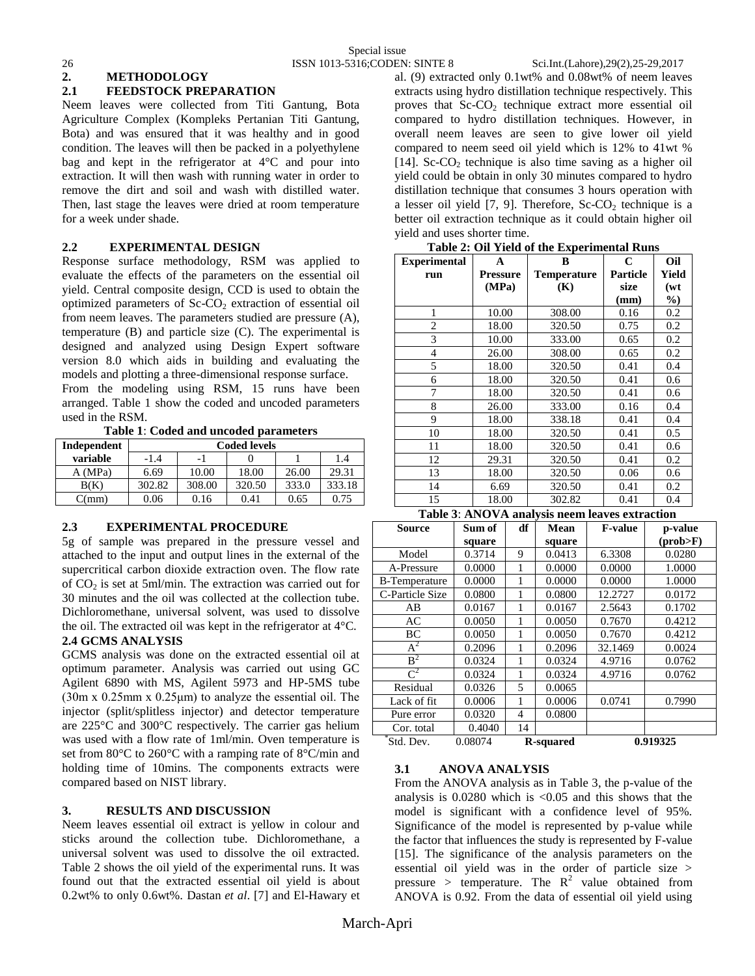# **2. METHODOLOGY**

# **2.1 FEEDSTOCK PREPARATION**

Neem leaves were collected from Titi Gantung, Bota Agriculture Complex (Kompleks Pertanian Titi Gantung, Bota) and was ensured that it was healthy and in good condition. The leaves will then be packed in a polyethylene bag and kept in the refrigerator at 4°C and pour into extraction. It will then wash with running water in order to remove the dirt and soil and wash with distilled water. Then, last stage the leaves were dried at room temperature for a week under shade.

# **2.2 EXPERIMENTAL DESIGN**

Response surface methodology, RSM was applied to evaluate the effects of the parameters on the essential oil yield. Central composite design, CCD is used to obtain the optimized parameters of  $ScCO<sub>2</sub>$  extraction of essential oil from neem leaves. The parameters studied are pressure (A), temperature (B) and particle size (C). The experimental is designed and analyzed using Design Expert software version 8.0 which aids in building and evaluating the models and plotting a three-dimensional response surface.

From the modeling using RSM, 15 runs have been arranged. Table 1 show the coded and uncoded parameters used in the RSM.

**Table 1**: **Coded and uncoded parameters**

| Independent | <b>Coded levels</b> |                          |        |       |        |
|-------------|---------------------|--------------------------|--------|-------|--------|
| variable    | $-1.4$              | $\overline{\phantom{0}}$ |        |       | 1.4    |
| A (MPa)     | 6.69                | 10.00                    | 18.00  | 26.00 | 29.31  |
| B(K)        | 302.82              | 308.00                   | 320.50 | 333.0 | 333.18 |
| C(mm)       | 0.06                | 0.16                     | 0.41   | 0.65  | 0.75   |

## **2.3 EXPERIMENTAL PROCEDURE**

5g of sample was prepared in the pressure vessel and attached to the input and output lines in the external of the supercritical carbon dioxide extraction oven. The flow rate of  $CO<sub>2</sub>$  is set at 5ml/min. The extraction was carried out for 30 minutes and the oil was collected at the collection tube. Dichloromethane, universal solvent, was used to dissolve the oil. The extracted oil was kept in the refrigerator at 4°C.

## **2.4 GCMS ANALYSIS**

GCMS analysis was done on the extracted essential oil at optimum parameter. Analysis was carried out using GC Agilent 6890 with MS, Agilent 5973 and HP-5MS tube (30m x 0.25mm x 0.25μm) to analyze the essential oil. The injector (split/splitless injector) and detector temperature are 225°C and 300°C respectively. The carrier gas helium was used with a flow rate of 1ml/min. Oven temperature is set from 80°C to 260°C with a ramping rate of 8°C/min and holding time of 10mins. The components extracts were compared based on NIST library.

## **3. RESULTS AND DISCUSSION**

Neem leaves essential oil extract is yellow in colour and sticks around the collection tube. Dichloromethane, a universal solvent was used to dissolve the oil extracted. Table 2 shows the oil yield of the experimental runs. It was found out that the extracted essential oil yield is about 0.2wt% to only 0.6wt%. Dastan *et al*. [7] and El-Hawary et

al. (9) extracted only 0.1wt% and 0.08wt% of neem leaves extracts using hydro distillation technique respectively. This proves that  $Sc-CO<sub>2</sub>$  technique extract more essential oil compared to hydro distillation techniques. However, in overall neem leaves are seen to give lower oil yield compared to neem seed oil yield which is 12% to 41wt % [14]. Sc- $CO<sub>2</sub>$  technique is also time saving as a higher oil yield could be obtain in only 30 minutes compared to hydro distillation technique that consumes 3 hours operation with a lesser oil yield  $[7, 9]$ . Therefore, Sc-CO<sub>2</sub> technique is a better oil extraction technique as it could obtain higher oil yield and uses shorter time.

| <b>Experimental</b> | A        | B           | $\mathbf C$     | Oil   |
|---------------------|----------|-------------|-----------------|-------|
| run                 | Pressure | Temperature | <b>Particle</b> | Yield |
|                     | (MPa)    | (K)         | size            | (wt   |
|                     |          |             | (mm)            | $\%$  |
| 1                   | 10.00    | 308.00      | 0.16            | 0.2   |
| $\overline{2}$      | 18.00    | 320.50      | 0.75            | 0.2   |
| 3                   | 10.00    | 333.00      | 0.65            | 0.2   |
| 4                   | 26.00    | 308.00      | 0.65            | 0.2   |
| 5                   | 18.00    | 320.50      | 0.41            | 0.4   |
| 6                   | 18.00    | 320.50      | 0.41            | 0.6   |
| 7                   | 18.00    | 320.50      | 0.41            | 0.6   |
| 8                   | 26.00    | 333.00      | 0.16            | 0.4   |
| 9                   | 18.00    | 338.18      | 0.41            | 0.4   |
| 10                  | 18.00    | 320.50      | 0.41            | 0.5   |
| 11                  | 18.00    | 320.50      | 0.41            | 0.6   |
| 12                  | 29.31    | 320.50      | 0.41            | 0.2   |
| 13                  | 18.00    | 320.50      | 0.06            | 0.6   |
| 14                  | 6.69     | 320.50      | 0.41            | 0.2   |
| 15                  | 18.00    | 302.82      | 0.41            | 0.4   |



| <b>Source</b>        | Sum of  | df | <b>Mean</b> | <b>F-value</b> | p-value             |
|----------------------|---------|----|-------------|----------------|---------------------|
|                      | square  |    | square      |                | $(\text{prob} > F)$ |
| Model                | 0.3714  | 9  | 0.0413      | 6.3308         | 0.0280              |
| A-Pressure           | 0.0000  | 1  | 0.0000      | 0.0000         | 1.0000              |
| <b>B-Temperature</b> | 0.0000  | 1  | 0.0000      | 0.0000         | 1.0000              |
| C-Particle Size      | 0.0800  | 1  | 0.0800      | 12.2727        | 0.0172              |
| AB                   | 0.0167  | 1  | 0.0167      | 2.5643         | 0.1702              |
| AC                   | 0.0050  | 1  | 0.0050      | 0.7670         | 0.4212              |
| BC                   | 0.0050  | 1  | 0.0050      | 0.7670         | 0.4212              |
| $A^2$                | 0.2096  | 1  | 0.2096      | 32.1469        | 0.0024              |
| B <sup>2</sup>       | 0.0324  | 1  | 0.0324      | 4.9716         | 0.0762              |
| $\mathcal{C}^2$      | 0.0324  | 1  | 0.0324      | 4.9716         | 0.0762              |
| Residual             | 0.0326  | 5  | 0.0065      |                |                     |
| Lack of fit          | 0.0006  | 1  | 0.0006      | 0.0741         | 0.7990              |
| Pure error           | 0.0320  | 4  | 0.0800      |                |                     |
| Cor. total           | 0.4040  | 14 |             |                |                     |
| Std. Dev.            | 0.08074 |    | R-squared   |                | 0.919325            |

## **3.1 ANOVA ANALYSIS**

From the ANOVA analysis as in Table 3, the p-value of the analysis is  $0.0280$  which is  $< 0.05$  and this shows that the model is significant with a confidence level of 95%. Significance of the model is represented by p-value while the factor that influences the study is represented by F-value [15]. The significance of the analysis parameters on the essential oil yield was in the order of particle size > pressure > temperature. The  $R^2$  value obtained from ANOVA is 0.92. From the data of essential oil yield using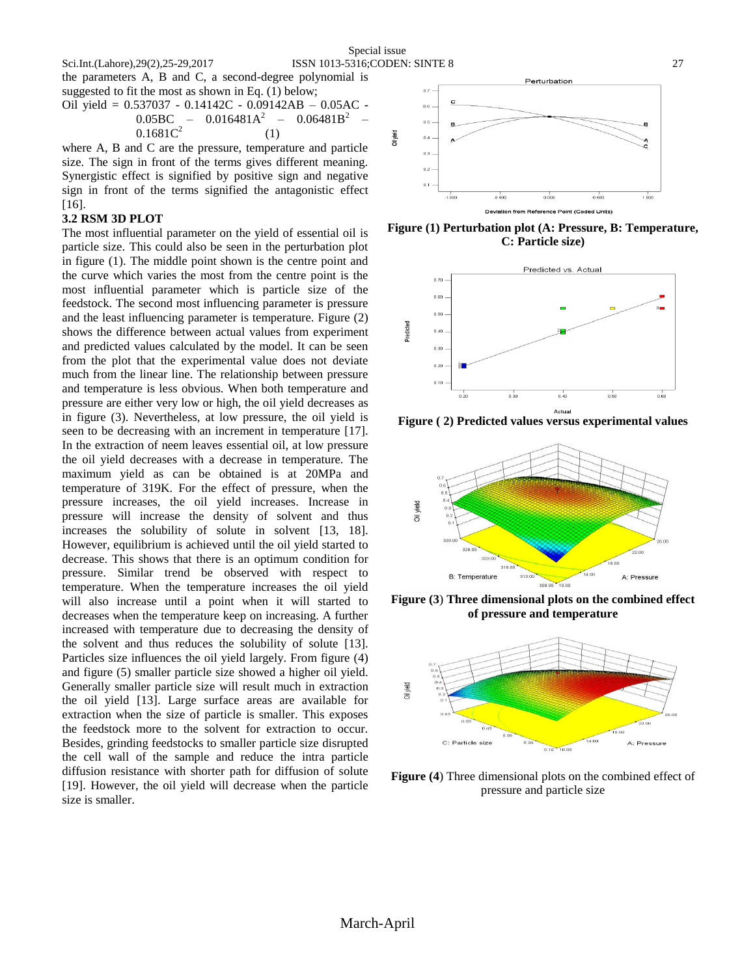Oil yield

the parameters A, B and C, a second-degree polynomial is suggested to fit the most as shown in Eq. (1) below;

$$
Oil yield = 0.537037 - 0.14142C - 0.09142AB - 0.05AC - 0.05BC - 0.016481A2 - 0.06481B2 - 0.1681C2
$$
\n(1)

where A, B and C are the pressure, temperature and particle size. The sign in front of the terms gives different meaning. Synergistic effect is signified by positive sign and negative sign in front of the terms signified the antagonistic effect [16].

#### **3.2 RSM 3D PLOT**

The most influential parameter on the yield of essential oil is particle size. This could also be seen in the perturbation plot in figure (1). The middle point shown is the centre point and the curve which varies the most from the centre point is the most influential parameter which is particle size of the feedstock. The second most influencing parameter is pressure and the least influencing parameter is temperature. Figure (2) shows the difference between actual values from experiment and predicted values calculated by the model. It can be seen from the plot that the experimental value does not deviate much from the linear line. The relationship between pressure and temperature is less obvious. When both temperature and pressure are either very low or high, the oil yield decreases as in figure (3). Nevertheless, at low pressure, the oil yield is seen to be decreasing with an increment in temperature [17]. In the extraction of neem leaves essential oil, at low pressure the oil yield decreases with a decrease in temperature. The maximum yield as can be obtained is at 20MPa and temperature of 319K. For the effect of pressure, when the pressure increases, the oil yield increases. Increase in pressure will increase the density of solvent and thus increases the solubility of solute in solvent [13, 18]. However, equilibrium is achieved until the oil yield started to decrease. This shows that there is an optimum condition for pressure. Similar trend be observed with respect to temperature. When the temperature increases the oil yield will also increase until a point when it will started to decreases when the temperature keep on increasing. A further increased with temperature due to decreasing the density of the solvent and thus reduces the solubility of solute [13]. Particles size influences the oil yield largely. From figure (4) and figure (5) smaller particle size showed a higher oil yield. Generally smaller particle size will result much in extraction the oil yield [13]. Large surface areas are available for extraction when the size of particle is smaller. This exposes the feedstock more to the solvent for extraction to occur. Besides, grinding feedstocks to smaller particle size disrupted the cell wall of the sample and reduce the intra particle diffusion resistance with shorter path for diffusion of solute [19]. However, the oil yield will decrease when the particle size is smaller.



**Figure (1) Perturbation plot (A: Pressure, B: Temperature, C: Particle size)**



**Figure ( 2) Predicted values versus experimental values**



**Figure (3**) **Three dimensional plots on the combined effect of pressure and temperature**



**Figure (4**) Three dimensional plots on the combined effect of pressure and particle size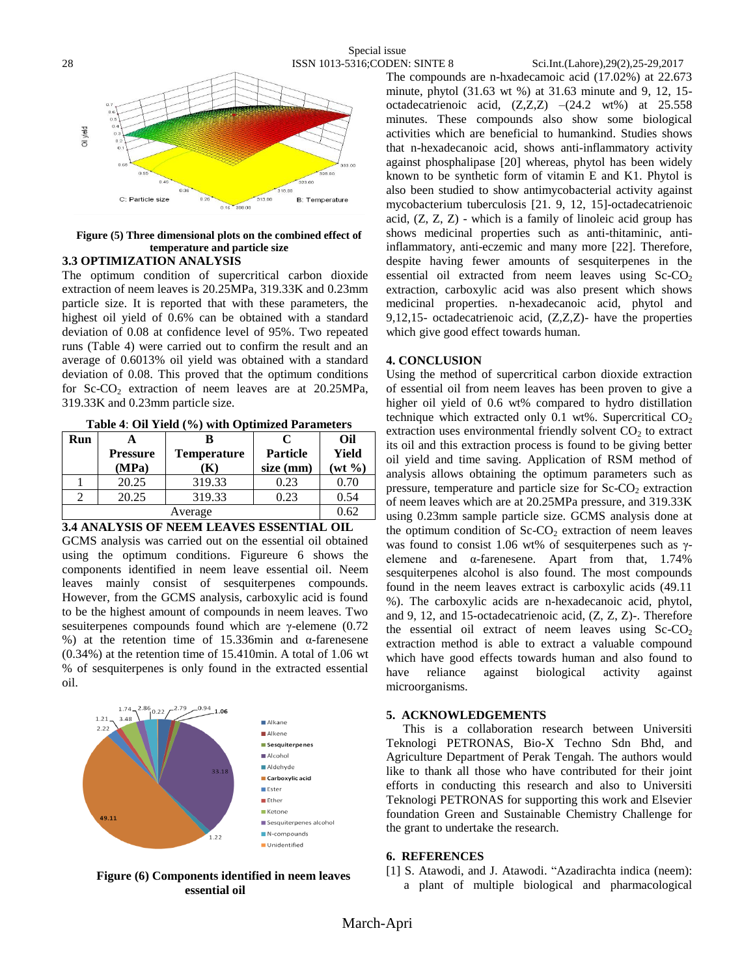

# **Figure (5) Three dimensional plots on the combined effect of temperature and particle size**

# **3.3 OPTIMIZATION ANALYSIS**

The optimum condition of supercritical carbon dioxide extraction of neem leaves is 20.25MPa, 319.33K and 0.23mm particle size. It is reported that with these parameters, the highest oil yield of 0.6% can be obtained with a standard deviation of 0.08 at confidence level of 95%. Two repeated runs (Table 4) were carried out to confirm the result and an average of 0.6013% oil yield was obtained with a standard deviation of 0.08. This proved that the optimum conditions for Sc-CO<sub>2</sub> extraction of neem leaves are at  $20.25MPa$ , 319.33K and 0.23mm particle size.

| Table 4: Oil Yield (%) with Optimized Parameters |
|--------------------------------------------------|
|--------------------------------------------------|

| Run                       |                 |                    | $\mathsf{C}$    | Oil          |  |
|---------------------------|-----------------|--------------------|-----------------|--------------|--|
|                           | <b>Pressure</b> | <b>Temperature</b> | <b>Particle</b> | Yield        |  |
|                           | (MPa)           | ĸ                  | size (mm)       | $(wt \, \%)$ |  |
|                           | 20.25           | 319.33             | 0.23            | 0.70         |  |
|                           | 20.25           | 319.33             | 0.23            | 0.54         |  |
|                           | 0.62            |                    |                 |              |  |
| $\rightarrow$<br>IR MEHRA |                 |                    |                 |              |  |

## **3.4 ANALYSIS OF NEEM LEAVES ESSENTIAL OIL**

GCMS analysis was carried out on the essential oil obtained using the optimum conditions. Figureure 6 shows the components identified in neem leave essential oil. Neem leaves mainly consist of sesquiterpenes compounds. However, from the GCMS analysis, carboxylic acid is found to be the highest amount of compounds in neem leaves. Two sesuiterpenes compounds found which are γ-elemene (0.72 %) at the retention time of 15.336min and  $\alpha$ -farenesene (0.34%) at the retention time of 15.410min. A total of 1.06 wt % of sesquiterpenes is only found in the extracted essential oil.



# **Figure (6) Components identified in neem leaves essential oil**

The compounds are n-hxadecamoic acid (17.02%) at 22.673 minute, phytol (31.63 wt %) at 31.63 minute and 9, 12, 15 octadecatrienoic acid,  $(Z,Z,Z)$  –(24.2 wt%) at 25.558 minutes. These compounds also show some biological activities which are beneficial to humankind. Studies shows that n-hexadecanoic acid, shows anti-inflammatory activity against phosphalipase [20] whereas, phytol has been widely known to be synthetic form of vitamin E and K1. Phytol is also been studied to show antimycobacterial activity against mycobacterium tuberculosis [21. 9, 12, 15]-octadecatrienoic acid,  $(Z, Z, Z)$  - which is a family of linoleic acid group has shows medicinal properties such as anti-thitaminic, antiinflammatory, anti-eczemic and many more [22]. Therefore, despite having fewer amounts of sesquiterpenes in the essential oil extracted from neem leaves using  $Sc-CO<sub>2</sub>$ extraction, carboxylic acid was also present which shows medicinal properties. n-hexadecanoic acid, phytol and 9,12,15- octadecatrienoic acid, (Z,Z,Z)- have the properties which give good effect towards human.

# **4. CONCLUSION**

Using the method of supercritical carbon dioxide extraction of essential oil from neem leaves has been proven to give a higher oil yield of 0.6 wt% compared to hydro distillation technique which extracted only 0.1 wt%. Supercritical  $CO<sub>2</sub>$ extraction uses environmental friendly solvent  $CO<sub>2</sub>$  to extract its oil and this extraction process is found to be giving better oil yield and time saving. Application of RSM method of analysis allows obtaining the optimum parameters such as pressure, temperature and particle size for  $ScCO<sub>2</sub>$  extraction of neem leaves which are at 20.25MPa pressure, and 319.33K using 0.23mm sample particle size. GCMS analysis done at the optimum condition of  $Sc$ - $CO<sub>2</sub>$  extraction of neem leaves was found to consist 1.06 wt% of sesquiterpenes such as γelemene and α-farenesene. Apart from that, 1.74% sesquiterpenes alcohol is also found. The most compounds found in the neem leaves extract is carboxylic acids (49.11 %). The carboxylic acids are n-hexadecanoic acid, phytol, and 9, 12, and 15-octadecatrienoic acid, (Z, Z, Z)-. Therefore the essential oil extract of neem leaves using  $Sc-CO<sub>2</sub>$ extraction method is able to extract a valuable compound which have good effects towards human and also found to have reliance against biological activity against microorganisms.

## **5. ACKNOWLEDGEMENTS**

This is a collaboration research between Universiti Teknologi PETRONAS, Bio-X Techno Sdn Bhd, and Agriculture Department of Perak Tengah. The authors would like to thank all those who have contributed for their joint efforts in conducting this research and also to Universiti Teknologi PETRONAS for supporting this work and Elsevier foundation Green and Sustainable Chemistry Challenge for the grant to undertake the research.

# **6. REFERENCES**

[1] S. Atawodi, and J. Atawodi. "Azadirachta indica (neem): a plant of multiple biological and pharmacological